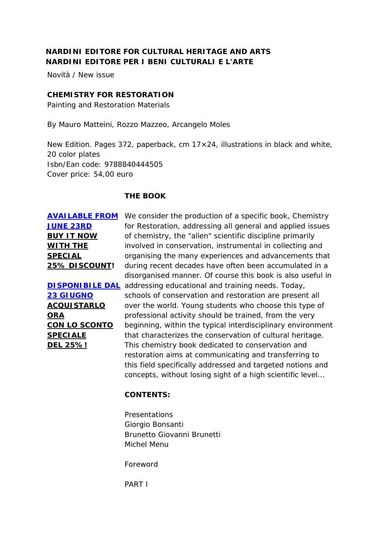## **NARDINI EDITORE FOR CULTURAL HERITAGE AND ARTS NARDINI EDITORE PER I BENI CULTURALI E L'ARTE**

Novità / New issue

#### **CHEMISTRY FOR RESTORATION**

Painting and Restoration Materials

By Mauro Matteini, Rozzo Mazzeo, Arcangelo Moles

New Edition. Pages 372, paperback, cm 17×24, illustrations in black and white, 20 color plates Isbn/Ean code: 9788840444505 Cover price: 54,00 euro

#### **THE BOOK**

**[JUNE 23RD](http://www.nardinieditore.it/prodotto/chemistry-for-restoration-painting-and-restoration-materials/) BUY IT NOW WITH THE SPECIAL 25% DISCOUNT!**

**[23 GIUGNO](http://www.nardinieditore.it/prodotto/chemistry-for-restoration-painting-and-restoration-materials/) ACQUISTARLO ORA CON LO SCONTO SPECIALE DEL 25%!**

**[AVAILABLE FROM](http://www.nardinieditore.it/prodotto/chemistry-for-restoration-painting-and-restoration-materials/)**  We consider the production of a specific book, Chemistry **DISPONIBILE DAL** addressing educational and training needs. Today, for Restoration, addressing all general and applied issues of chemistry, the "alien" scientific discipline primarily involved in conservation, instrumental in collecting and organising the many experiences and advancements that during recent decades have often been accumulated in a disorganised manner. Of course this book is also useful in schools of conservation and restoration are present all over the world. Young students who choose this type of professional activity should be trained, from the very beginning, within the typical interdisciplinary environment that characterizes the conservation of cultural heritage. This chemistry book dedicated to conservation and restoration aims at communicating and transferring to this field specifically addressed and targeted notions and concepts, without losing sight of a high scientific level...

#### **CONTENTS:**

Presentations Giorgio Bonsanti Brunetto Giovanni Brunetti Michel Menu

Foreword

PART I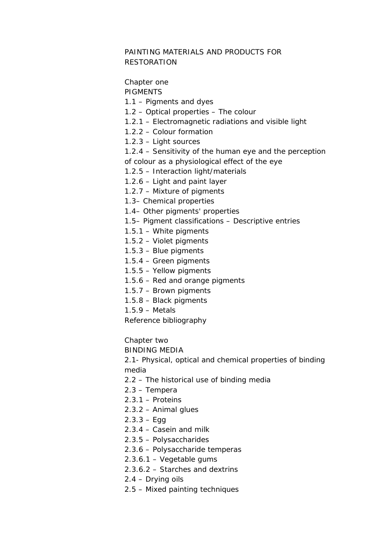## PAINTING MATERIALS AND PRODUCTS FOR RESTORATION

# Chapter one

PIGMENTS

- 1.1 Pigments and dyes
- 1.2 Optical properties The colour
- 1.2.1 Electromagnetic radiations and visible light
- 1.2.2 Colour formation
- 1.2.3 Light sources
- 1.2.4 Sensitivity of the human eye and the perception of colour as a physiological effect of the eye
- 1.2.5 Interaction light/materials
- 1.2.6 Light and paint layer
- 1.2.7 Mixture of pigments
- 1.3– Chemical properties
- 1.4– Other pigments' properties
- 1.5– Pigment classifications Descriptive entries
- 1.5.1 White pigments
- 1.5.2 Violet pigments
- 1.5.3 Blue pigments
- 1.5.4 Green pigments
- 1.5.5 Yellow pigments
- 1.5.6 Red and orange pigments
- 1.5.7 Brown pigments
- 1.5.8 Black pigments
- 1.5.9 Metals
- Reference bibliography

Chapter two

BINDING MEDIA

2.1- Physical, optical and chemical properties of binding media

- 2.2 The historical use of binding media
- 2.3 Tempera
- 2.3.1 Proteins
- 2.3.2 Animal glues
- $2.3.3 Egg$
- 2.3.4 Casein and milk
- 2.3.5 Polysaccharides
- 2.3.6 Polysaccharide temperas
- 2.3.6.1 Vegetable gums
- 2.3.6.2 Starches and dextrins
- 2.4 Drying oils
- 2.5 Mixed painting techniques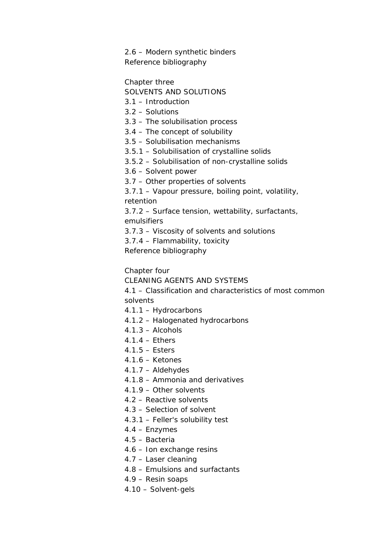2.6 – Modern synthetic binders Reference bibliography

Chapter three

- SOLVENTS AND SOLUTIONS
- 3.1 Introduction
- 3.2 Solutions
- 3.3 The solubilisation process
- 3.4 The concept of solubility
- 3.5 Solubilisation mechanisms
- 3.5.1 Solubilisation of crystalline solids
- 3.5.2 Solubilisation of non-crystalline solids
- 3.6 Solvent power
- 3.7 Other properties of solvents

3.7.1 – Vapour pressure, boiling point, volatility, retention

3.7.2 – Surface tension, wettability, surfactants, emulsifiers

3.7.3 – Viscosity of solvents and solutions

3.7.4 – Flammability, toxicity

Reference bibliography

Chapter four

CLEANING AGENTS AND SYSTEMS

4.1 – Classification and characteristics of most common solvents

- 4.1.1 Hydrocarbons
- 4.1.2 Halogenated hydrocarbons
- $4.1.3 -$  Alcohols
- 4.1.4 Ethers
- 4.1.5 Esters
- 4.1.6 Ketones
- 4.1.7 Aldehydes
- 4.1.8 Ammonia and derivatives
- 4.1.9 Other solvents
- 4.2 Reactive solvents
- 4.3 Selection of solvent
- 4.3.1 Feller's solubility test
- 4.4 Enzymes
- 4.5 Bacteria
- 4.6 Ion exchange resins
- 4.7 Laser cleaning
- 4.8 Emulsions and surfactants
- 4.9 Resin soaps
- 4.10 Solvent-gels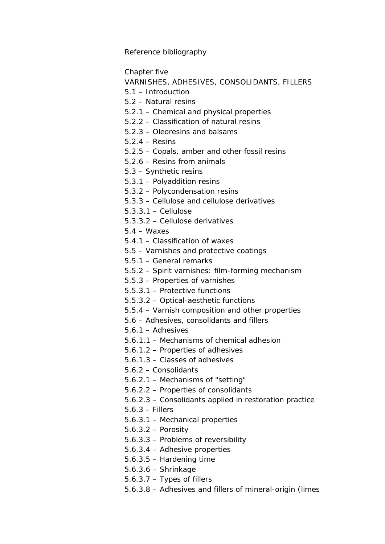Reference bibliography

Chapter five

VARNISHES, ADHESIVES, CONSOLIDANTS, FILLERS

5.1 – Introduction

5.2 – Natural resins

5.2.1 – Chemical and physical properties

5.2.2 – Classification of natural resins

5.2.3 – Oleoresins and balsams

5.2.4 – Resins

5.2.5 – Copals, amber and other fossil resins

5.2.6 – Resins from animals

5.3 – Synthetic resins

5.3.1 – Polyaddition resins

- 5.3.2 Polycondensation resins
- 5.3.3 Cellulose and cellulose derivatives

5.3.3.1 – Cellulose

5.3.3.2 – Cellulose derivatives

 $5.4 - \text{Waxes}$ 

5.4.1 – Classification of waxes

5.5 – Varnishes and protective coatings

5.5.1 – General remarks

5.5.2 – Spirit varnishes: film-forming mechanism

5.5.3 – Properties of varnishes

5.5.3.1 – Protective functions

5.5.3.2 – Optical-aesthetic functions

5.5.4 – Varnish composition and other properties

5.6 – Adhesives, consolidants and fillers

5.6.1 – Adhesives

5.6.1.1 – Mechanisms of chemical adhesion

5.6.1.2 – Properties of adhesives

5.6.1.3 – Classes of adhesives

5.6.2 – Consolidants

5.6.2.1 – Mechanisms of "setting"

5.6.2.2 – Properties of consolidants

5.6.2.3 – Consolidants applied in restoration practice

5.6.3 – Fillers

5.6.3.1 – Mechanical properties

5.6.3.2 – Porosity

5.6.3.3 – Problems of reversibility

5.6.3.4 – Adhesive properties

5.6.3.5 – Hardening time

5.6.3.6 – Shrinkage

5.6.3.7 – Types of fillers

5.6.3.8 – Adhesives and fillers of mineral-origin (limes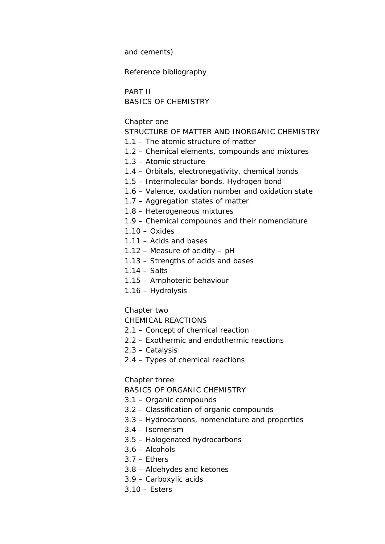and cements)

Reference bibliography

PART II BASICS OF CHEMISTRY

Chapter one

STRUCTURE OF MATTER AND INORGANIC CHEMISTRY

- 1.1 The atomic structure of matter
- 1.2 Chemical elements, compounds and mixtures
- 1.3 Atomic structure
- 1.4 Orbitals, electronegativity, chemical bonds
- 1.5 Intermolecular bonds. Hydrogen bond
- 1.6 Valence, oxidation number and oxidation state
- 1.7 Aggregation states of matter
- 1.8 Heterogeneous mixtures
- 1.9 Chemical compounds and their nomenclature
- $1.10 Oxides$
- 1.11 Acids and bases
- 1.12 Measure of acidity pH
- 1.13 Strengths of acids and bases
- 1.14 Salts
- 1.15 Amphoteric behaviour
- 1.16 Hydrolysis

Chapter two

CHEMICAL REACTIONS

- 2.1 Concept of chemical reaction
- 2.2 Exothermic and endothermic reactions
- 2.3 Catalysis
- 2.4 Types of chemical reactions

Chapter three

BASICS OF ORGANIC CHEMISTRY

- 3.1 Organic compounds
- 3.2 Classification of organic compounds
- 3.3 Hydrocarbons, nomenclature and properties
- 3.4 Isomerism
- 3.5 Halogenated hydrocarbons
- 3.6 Alcohols
- 3.7 Ethers
- 3.8 Aldehydes and ketones
- 3.9 Carboxylic acids
- 3.10 Esters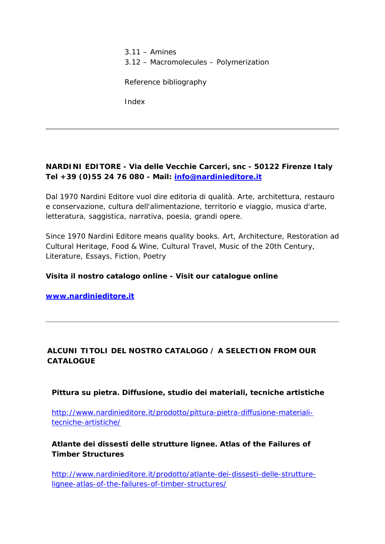3.11 – Amines 3.12 – Macromolecules – Polymerization

Reference bibliography

Index

## **NARDINI EDITORE - Via delle Vecchie Carceri, snc - 50122 Firenze Italy Tel +39 (0)55 24 76 080 - Mail: [info@nardinieditore.it](mailto:info@nardinieditore.it)**

Dal 1970 Nardini Editore vuol dire editoria di qualità. Arte, architettura, restauro e conservazione, cultura dell'alimentazione, territorio e viaggio, musica d'arte, letteratura, saggistica, narrativa, poesia, grandi opere.

Since 1970 Nardini Editore means quality books. Art, Architecture, Restoration ad Cultural Heritage, Food & Wine, Cultural Travel, Music of the 20th Century, Literature, Essays, Fiction, Poetry

#### **Visita il nostro catalogo online - Visit our catalogue online**

**[www.nardinieditore.it](http://www.nardinieditore.it/)**

### **ALCUNI TITOLI DEL NOSTRO CATALOGO / A SELECTION FROM OUR CATALOGUE**

**Pittura su pietra. Diffusione, studio dei materiali, tecniche artistiche**

[http://www.nardinieditore.it/prodotto/pittura-pietra-diffusione-materiali](http://www.nardinieditore.it/prodotto/pittura-pietra-diffusione-materiali-tecniche-artistiche/)[tecniche-artistiche/](http://www.nardinieditore.it/prodotto/pittura-pietra-diffusione-materiali-tecniche-artistiche/)

**Atlante dei dissesti delle strutture lignee. Atlas of the Failures of Timber Structures**

[http://www.nardinieditore.it/prodotto/atlante-dei-dissesti-delle-strutture](http://www.nardinieditore.it/prodotto/atlante-dei-dissesti-delle-strutture-lignee-atlas-of-the-failures-of-timber-structures/)[lignee-atlas-of-the-failures-of-timber-structures/](http://www.nardinieditore.it/prodotto/atlante-dei-dissesti-delle-strutture-lignee-atlas-of-the-failures-of-timber-structures/)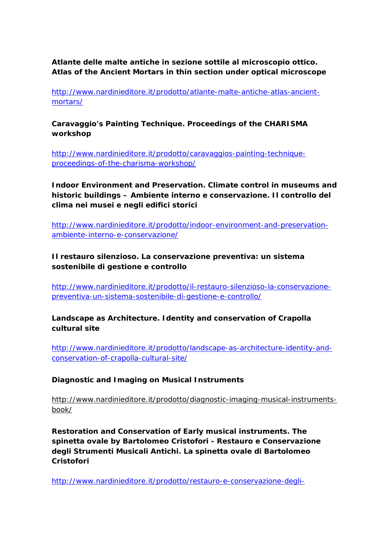**Atlante delle malte antiche in sezione sottile al microscopio ottico. Atlas of the Ancient Mortars in thin section under optical microscope**

[http://www.nardinieditore.it/prodotto/atlante-malte-antiche-atlas-ancient](http://www.nardinieditore.it/prodotto/atlante-malte-antiche-atlas-ancient-mortars/)[mortars/](http://www.nardinieditore.it/prodotto/atlante-malte-antiche-atlas-ancient-mortars/)

**Caravaggio's Painting Technique. Proceedings of the CHARISMA workshop**

[http://www.nardinieditore.it/prodotto/caravaggios-painting-technique](http://www.nardinieditore.it/prodotto/caravaggios-painting-technique-proceedings-of-the-charisma-workshop/)[proceedings-of-the-charisma-workshop/](http://www.nardinieditore.it/prodotto/caravaggios-painting-technique-proceedings-of-the-charisma-workshop/)

**Indoor Environment and Preservation. Climate control in museums and historic buildings – Ambiente interno e conservazione. Il controllo del clima nei musei e negli edifici storici**

[http://www.nardinieditore.it/prodotto/indoor-environment-and-preservation](http://www.nardinieditore.it/prodotto/indoor-environment-and-preservation-ambiente-interno-e-conservazione/)[ambiente-interno-e-conservazione/](http://www.nardinieditore.it/prodotto/indoor-environment-and-preservation-ambiente-interno-e-conservazione/)

**Il restauro silenzioso. La conservazione preventiva: un sistema sostenibile di gestione e controllo**

[http://www.nardinieditore.it/prodotto/il-restauro-silenzioso-la-conservazione](http://www.nardinieditore.it/prodotto/il-restauro-silenzioso-la-conservazione-preventiva-un-sistema-sostenibile-di-gestione-e-controllo/)[preventiva-un-sistema-sostenibile-di-gestione-e-controllo/](http://www.nardinieditore.it/prodotto/il-restauro-silenzioso-la-conservazione-preventiva-un-sistema-sostenibile-di-gestione-e-controllo/)

**Landscape as Architecture. Identity and conservation of Crapolla cultural site**

[http://www.nardinieditore.it/prodotto/landscape-as-architecture-identity-and](http://www.nardinieditore.it/prodotto/landscape-as-architecture-identity-and-conservation-of-crapolla-cultural-site/)[conservation-of-crapolla-cultural-site/](http://www.nardinieditore.it/prodotto/landscape-as-architecture-identity-and-conservation-of-crapolla-cultural-site/)

#### **Diagnostic and Imaging on Musical Instruments**

http://www.nardinieditore.it/prodotto/diagnostic-imaging-musical-instrumentsbook/

**Restoration and Conservation of Early musical instruments. The spinetta ovale by Bartolomeo Cristofori - Restauro e Conservazione degli Strumenti Musicali Antichi. La spinetta ovale di Bartolomeo Cristofori**

[http://www.nardinieditore.it/prodotto/restauro-e-conservazione-degli-](http://www.nardinieditore.it/prodotto/restauro-e-conservazione-degli-strumenti-musicali-antichi/)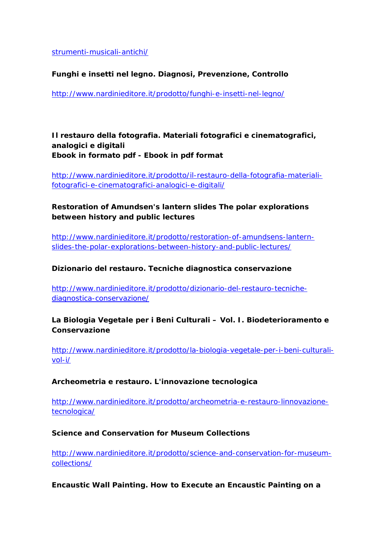[strumenti-musicali-antichi/](http://www.nardinieditore.it/prodotto/restauro-e-conservazione-degli-strumenti-musicali-antichi/)

### **Funghi e insetti nel legno. Diagnosi, Prevenzione, Controllo**

<http://www.nardinieditore.it/prodotto/funghi-e-insetti-nel-legno/>

**Il restauro della fotografia. Materiali fotografici e cinematografici, analogici e digitali Ebook in formato pdf - Ebook in pdf format**

[http://www.nardinieditore.it/prodotto/il-restauro-della-fotografia-materiali](http://www.nardinieditore.it/prodotto/il-restauro-della-fotografia-materiali-fotografici-e-cinematografici-analogici-e-digitali/)[fotografici-e-cinematografici-analogici-e-digitali/](http://www.nardinieditore.it/prodotto/il-restauro-della-fotografia-materiali-fotografici-e-cinematografici-analogici-e-digitali/)

## **Restoration of Amundsen's lantern slides The polar explorations between history and public lectures**

[http://www.nardinieditore.it/prodotto/restoration-of-amundsens-lantern](http://www.nardinieditore.it/prodotto/restoration-of-amundsens-lantern-slides-the-polar-explorations-between-history-and-public-lectures/)[slides-the-polar-explorations-between-history-and-public-lectures/](http://www.nardinieditore.it/prodotto/restoration-of-amundsens-lantern-slides-the-polar-explorations-between-history-and-public-lectures/)

#### **Dizionario del restauro. Tecniche diagnostica conservazione**

[http://www.nardinieditore.it/prodotto/dizionario-del-restauro-tecniche](http://www.nardinieditore.it/prodotto/dizionario-del-restauro-tecniche-diagnostica-conservazione/)[diagnostica-conservazione/](http://www.nardinieditore.it/prodotto/dizionario-del-restauro-tecniche-diagnostica-conservazione/)

### **La Biologia Vegetale per i Beni Culturali – Vol. I. Biodeterioramento e Conservazione**

[http://www.nardinieditore.it/prodotto/la-biologia-vegetale-per-i-beni-culturali](http://www.nardinieditore.it/prodotto/dizionario-del-restauro-tecniche-diagnostica-conservazione/)[vol-i/](http://www.nardinieditore.it/prodotto/dizionario-del-restauro-tecniche-diagnostica-conservazione/)

#### **Archeometria e restauro. L'innovazione tecnologica**

[http://www.nardinieditore.it/prodotto/archeometria-e-restauro-linnovazione](http://www.nardinieditore.it/prodotto/archeometria-e-restauro-linnovazione-tecnologica/)[tecnologica/](http://www.nardinieditore.it/prodotto/archeometria-e-restauro-linnovazione-tecnologica/)

#### **Science and Conservation for Museum Collections**

[http://www.nardinieditore.it/prodotto/science-and-conservation-for-museum](http://www.nardinieditore.it/prodotto/archeometria-e-restauro-linnovazione-tecnologica/)[collections/](http://www.nardinieditore.it/prodotto/archeometria-e-restauro-linnovazione-tecnologica/)

#### **Encaustic Wall Painting. How to Execute an Encaustic Painting on a**